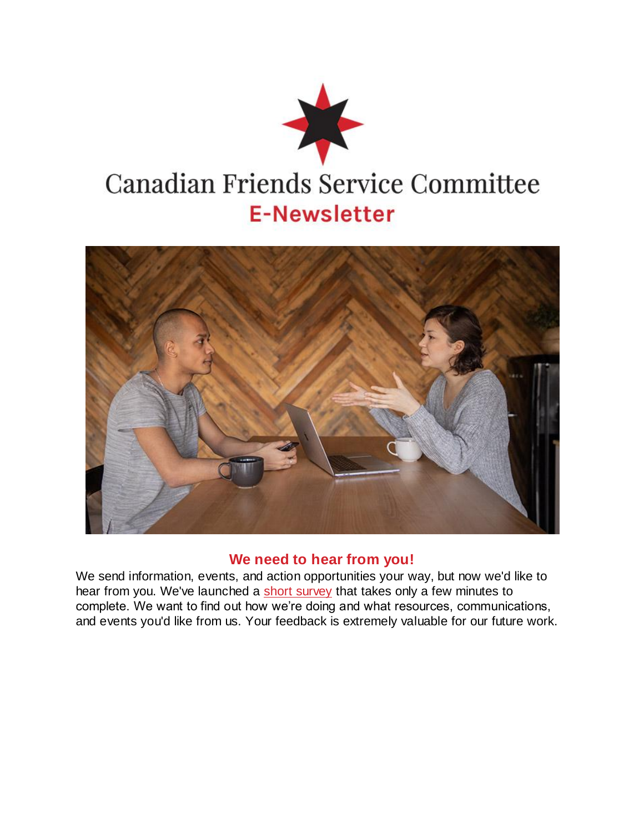



## **We need to hear from you!**

We send information, events, and action opportunities your way, but now we'd like to hear from you. We've launched a [short survey](https://u7342877.ct.sendgrid.net/ls/click?upn=ketOOriO-2FXzIOjqaPR4THk1Qxx9jjVeXZC0c-2BGAd2-2BzrJaJUrwFlor3KeTrLDv8LASsOMLqfJ18rJGN-2F6YuD7g-3D-3DIsf-_bPEefr2fZhl-2FNalTaPZf4DkyA2gnrS9gYscBFO3vMRiog9Hid4ZetIkC7ORazFiY5D4eTki50oHfAZfgNEOrUe-2FkQipKDnUOZTsabFIdE9E0Vtbm2Q-2F4m2XXtoF1w4r274X6rvMRjV6cJbeGV3DrjO1PegXUyquENqp6I96hsdw87UUdpErFd8pPw69-2FGH2nG0UGjxPTgIz7gLhBgy03Bw-3D-3D) that takes only a few minutes to complete. We want to find out how we're doing and what resources, communications, and events you'd like from us. Your feedback is extremely valuable for our future work.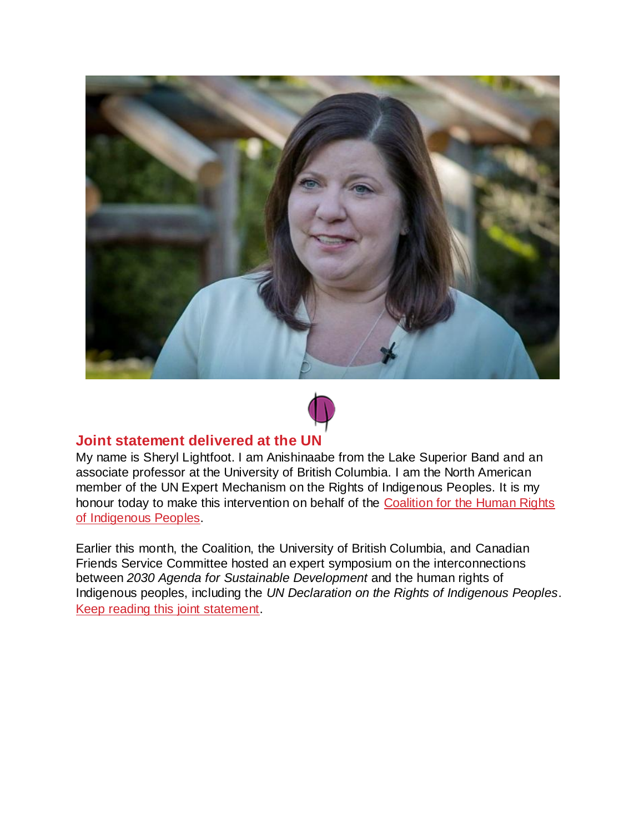



## **Joint statement delivered at the UN**

My name is Sheryl Lightfoot. I am Anishinaabe from the Lake Superior Band and an associate professor at the University of British Columbia. I am the North American member of the UN Expert Mechanism on the Rights of Indigenous Peoples. It is my honour today to make this intervention on behalf of the Coalition for the Human Rights [of Indigenous Peoples.](https://u7342877.ct.sendgrid.net/ls/click?upn=ketOOriO-2FXzIOjqaPR4THlmoqef5-2FajaOskfx4bHx6PBnu9ibwxgozIYY6uDBJYENpZI4emU7L1IbL4dq-2BJ4sw-3D-3DvcWx_bPEefr2fZhl-2FNalTaPZf4DkyA2gnrS9gYscBFO3vMRiog9Hid4ZetIkC7ORazFiYDgxaVnzVPLYkMQSokMe3UfQHm-2FNRUj1HXPQ0pkoZcH-2FvjH-2B4WT5JWS0vt7jRc8KsPH-2Br70pcLpueUbZFDNxMDJKrVwFE7RSIVuVJJsGXJmTxwmz90zhFeD4YW-2BQrSYWXSQaqmypeumeqktFIveL6ow-3D-3D)

Earlier this month, the Coalition, the University of British Columbia, and Canadian Friends Service Committee hosted an expert symposium on the interconnections between *2030 Agenda for Sustainable Development* and the human rights of Indigenous peoples, including the *UN Declaration on the Rights of Indigenous Peoples*. [Keep reading this joint statement.](https://u7342877.ct.sendgrid.net/ls/click?upn=ketOOriO-2FXzIOjqaPR4THk1Qxx9jjVeXZC0c-2BGAd2-2BxMOPBdmnhcyfZ3tAxPk4woUocXp990LI-2FcNiouHidHBw-3D-3DhSz4_bPEefr2fZhl-2FNalTaPZf4DkyA2gnrS9gYscBFO3vMRiog9Hid4ZetIkC7ORazFiYN1dS-2B3xjouoC8usURNFjJ1EByPchYYbBY7AFNS5tEd9DHIPLz6j2TeWsYSj59Vx-2Fh4jwbCM6LLKhZvvvuX0-2BGv80kE8d3GsiY00U2Y7yLUPxnawHnKUIEFhL8bCvobCFgOvf00lTYTo3hF-2F34AvYpA-3D-3D)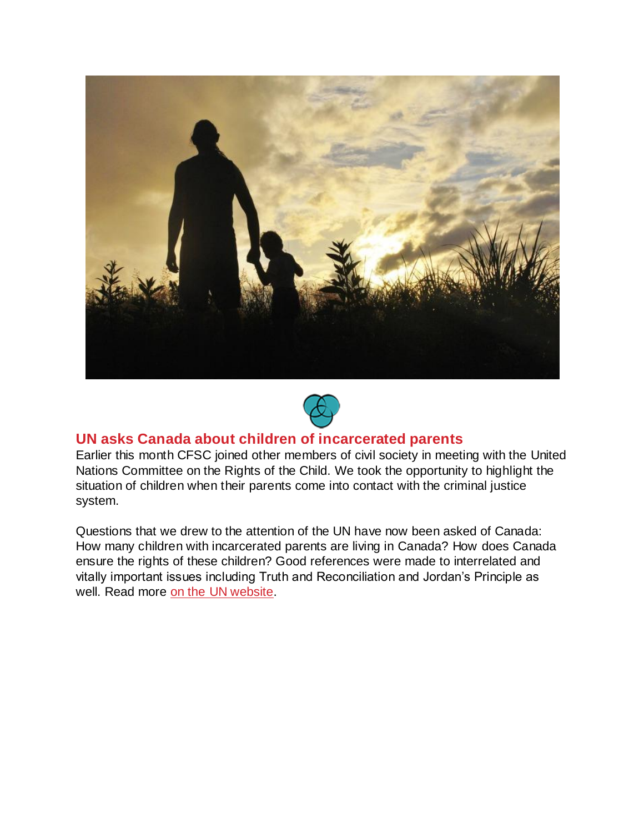



## **UN asks Canada about children of incarcerated parents**

Earlier this month CFSC joined other members of civil society in meeting with the United Nations Committee on the Rights of the Child. We took the opportunity to highlight the situation of children when their parents come into contact with the criminal justice system.

Questions that we drew to the attention of the UN have now been asked of Canada: How many children with incarcerated parents are living in Canada? How does Canada ensure the rights of these children? Good references were made to interrelated and vitally important issues including Truth and Reconciliation and Jordan's Principle as well. Read more [on the UN website.](https://u7342877.ct.sendgrid.net/ls/click?upn=ketOOriO-2FXzIOjqaPR4THkXhfbK5M2Fur644zclJYwwzkEINbR4CgB-2Bt4x1wrXUS4Av0nMeEPdjTffaaMsSpussTaluQ8QxAKFyieWv4LKYn8En136nHxfDqvVUEIHc0NtHssxW1qDwKv7PaTJfL9QJAfQqNef3PJuiZMwXDIfdpZGWlqT2eE9Iw-2ForjW7gO41Er_bPEefr2fZhl-2FNalTaPZf4DkyA2gnrS9gYscBFO3vMRiog9Hid4ZetIkC7ORazFiYVgiP1ms7w3-2FwU-2F13LY0HjDr6eBy-2Fbrynxiii69rA16D4Ixca-2Bfv68d8aB7TahseY-2BIgiSvGl6s9CUKPBdiB0HX3knobPea5qFfqdCUSEGAeFET1UKsM-2BAZgkK8aclNYGHfUPfL782RXHERykqQ70sg-3D-3D)